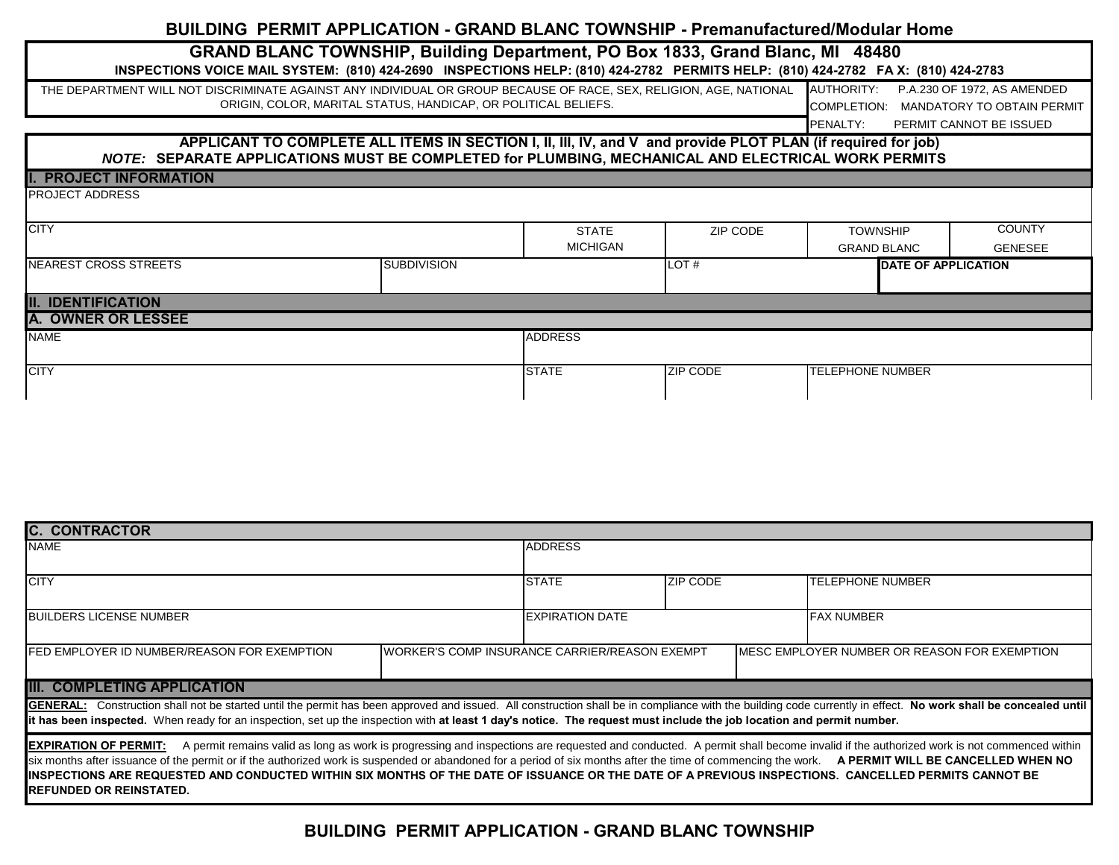## **BUILDING PERMIT APPLICATION - GRAND BLANC TOWNSHIP - Premanufactured/Modular Home**

# **GRAND BLANC TOWNSHIP, Building Department, PO Box 1833, Grand Blanc, MI 48480**

|                                                                                                                    | ONAND DEANG TOWNGHIF, DUIKHING DEPARTIMENT, FO DUX 1000, GRAND DIANG, IVIT 40400<br>INSPECTIONS VOICE MAIL SYSTEM: (810) 424-2690 INSPECTIONS HELP: (810) 424-2782 PERMITS HELP: (810) 424-2782 FA X: (810) 424-2783 |                 |          |                    |                                                                       |
|--------------------------------------------------------------------------------------------------------------------|----------------------------------------------------------------------------------------------------------------------------------------------------------------------------------------------------------------------|-----------------|----------|--------------------|-----------------------------------------------------------------------|
| THE DEPARTMENT WILL NOT DISCRIMINATE AGAINST ANY INDIVIDUAL OR GROUP BECAUSE OF RACE, SEX, RELIGION, AGE, NATIONAL | ORIGIN, COLOR, MARITAL STATUS, HANDICAP, OR POLITICAL BELIEFS.                                                                                                                                                       |                 |          | AUTHORITY:         | P.A.230 OF 1972, AS AMENDED<br>COMPLETION: MANDATORY TO OBTAIN PERMIT |
|                                                                                                                    |                                                                                                                                                                                                                      |                 |          | <b>IPENALTY:</b>   | PERMIT CANNOT BE ISSUED                                               |
|                                                                                                                    | APPLICANT TO COMPLETE ALL ITEMS IN SECTION I, II, III, IV, and V and provide PLOT PLAN (if required for job)<br>NOTE: SEPARATE APPLICATIONS MUST BE COMPLETED for PLUMBING, MECHANICAL AND ELECTRICAL WORK PERMITS   |                 |          |                    |                                                                       |
| <b>PROJECT INFORMATION</b>                                                                                         |                                                                                                                                                                                                                      |                 |          |                    |                                                                       |
| <b>PROJECT ADDRESS</b>                                                                                             |                                                                                                                                                                                                                      |                 |          |                    |                                                                       |
| <b>CITY</b>                                                                                                        |                                                                                                                                                                                                                      | <b>STATE</b>    | ZIP CODE | <b>TOWNSHIP</b>    | <b>COUNTY</b>                                                         |
|                                                                                                                    |                                                                                                                                                                                                                      | <b>MICHIGAN</b> |          | <b>GRAND BLANC</b> | <b>GENESEE</b>                                                        |
| <b>INEAREST CROSS STREETS</b>                                                                                      | <b>SUBDIVISION</b>                                                                                                                                                                                                   |                 | LOT#     |                    | <b>DATE OF APPLICATION</b>                                            |

### **II. IDENTIFICATION**

Г

| <b>A. OWNER OR LESSEE</b> |                |                 |                         |
|---------------------------|----------------|-----------------|-------------------------|
| <b>NAME</b>               | <b>ADDRESS</b> |                 |                         |
|                           |                |                 |                         |
| <b>CITY</b>               | <b>STATE</b>   | <b>ZIP CODE</b> | <b>TELEPHONE NUMBER</b> |
|                           |                |                 |                         |

| <b>IC. CONTRACTOR</b>                                                                                                                                                                                                                                                                                                                                                                                                         |                                                |                 |                                                                                                                                                                                 |  |  |  |  |  |  |  |  |
|-------------------------------------------------------------------------------------------------------------------------------------------------------------------------------------------------------------------------------------------------------------------------------------------------------------------------------------------------------------------------------------------------------------------------------|------------------------------------------------|-----------------|---------------------------------------------------------------------------------------------------------------------------------------------------------------------------------|--|--|--|--|--|--|--|--|
| <b>NAME</b>                                                                                                                                                                                                                                                                                                                                                                                                                   | <b>ADDRESS</b>                                 |                 |                                                                                                                                                                                 |  |  |  |  |  |  |  |  |
|                                                                                                                                                                                                                                                                                                                                                                                                                               |                                                |                 |                                                                                                                                                                                 |  |  |  |  |  |  |  |  |
| <b>CITY</b>                                                                                                                                                                                                                                                                                                                                                                                                                   | <b>STATE</b>                                   | <b>ZIP CODE</b> | <b>TELEPHONE NUMBER</b>                                                                                                                                                         |  |  |  |  |  |  |  |  |
| <b>IBUILDERS LICENSE NUMBER</b>                                                                                                                                                                                                                                                                                                                                                                                               | <b>EXPIRATION DATE</b>                         |                 | <b>FAX NUMBER</b>                                                                                                                                                               |  |  |  |  |  |  |  |  |
| FED EMPLOYER ID NUMBER/REASON FOR EXEMPTION                                                                                                                                                                                                                                                                                                                                                                                   | IWORKER'S COMP INSURANCE CARRIER/REASON EXEMPT |                 | MESC EMPLOYER NUMBER OR REASON FOR EXEMPTION                                                                                                                                    |  |  |  |  |  |  |  |  |
| <b>III. COMPLETING APPLICATION</b>                                                                                                                                                                                                                                                                                                                                                                                            |                                                |                 |                                                                                                                                                                                 |  |  |  |  |  |  |  |  |
| GENERAL: Construction shall not be started until the permit has been approved and issued. All construction shall be in compliance with the building code currently in effect. No work shall be concealed until<br>it has been inspected. When ready for an inspection, set up the inspection with at least 1 day's notice. The request must include the job location and permit number.                                       |                                                |                 |                                                                                                                                                                                 |  |  |  |  |  |  |  |  |
| <b>EXPIRATION OF PERMIT:</b><br>six months after issuance of the permit or if the authorized work is suspended or abandoned for a period of six months after the time of commencing the work. A PERMIT WILL BE CANCELLED WHEN NO<br>IINSPECTIONS ARE REQUESTED AND CONDUCTED WITHIN SIX MONTHS OF THE DATE OF ISSUANCE OR THE DATE OF A PREVIOUS INSPECTIONS.  CANCELLED PERMITS CANNOT BE<br><b>IREFUNDED OR REINSTATED.</b> |                                                |                 | A permit remains valid as long as work is progressing and inspections are requested and conducted. A permit shall become invalid if the authorized work is not commenced within |  |  |  |  |  |  |  |  |

**BUILDING PERMIT APPLICATION - GRAND BLANC TOWNSHIP**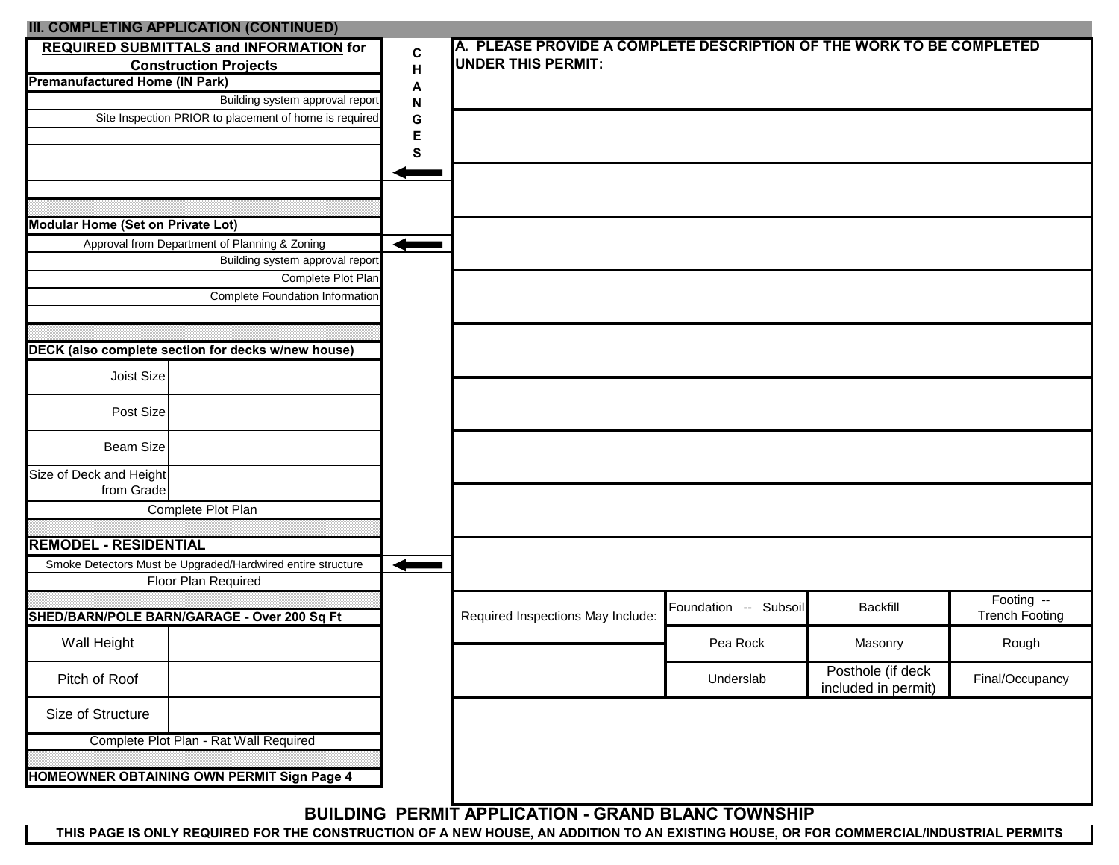| III. COMPLETING APPLICATION (CONTINUED)<br>REQUIRED SUBMITTALS and INFORMATION for |           | A. PLEASE PROVIDE A COMPLETE DESCRIPTION OF THE WORK TO BE COMPLETED |                       |                                          |                                     |
|------------------------------------------------------------------------------------|-----------|----------------------------------------------------------------------|-----------------------|------------------------------------------|-------------------------------------|
| <b>Construction Projects</b>                                                       | C         | <b>UNDER THIS PERMIT:</b>                                            |                       |                                          |                                     |
| <b>Premanufactured Home (IN Park)</b>                                              | Н         |                                                                      |                       |                                          |                                     |
| Building system approval report                                                    | A<br>N    |                                                                      |                       |                                          |                                     |
| Site Inspection PRIOR to placement of home is required                             | G         |                                                                      |                       |                                          |                                     |
|                                                                                    | E         |                                                                      |                       |                                          |                                     |
|                                                                                    | ${\bf S}$ |                                                                      |                       |                                          |                                     |
|                                                                                    |           |                                                                      |                       |                                          |                                     |
|                                                                                    |           |                                                                      |                       |                                          |                                     |
| <b>Modular Home (Set on Private Lot)</b>                                           |           |                                                                      |                       |                                          |                                     |
| Approval from Department of Planning & Zoning                                      |           |                                                                      |                       |                                          |                                     |
| Building system approval report                                                    |           |                                                                      |                       |                                          |                                     |
| Complete Plot Plan<br><b>Complete Foundation Information</b>                       |           |                                                                      |                       |                                          |                                     |
|                                                                                    |           |                                                                      |                       |                                          |                                     |
|                                                                                    |           |                                                                      |                       |                                          |                                     |
| DECK (also complete section for decks w/new house)                                 |           |                                                                      |                       |                                          |                                     |
| Joist Size                                                                         |           |                                                                      |                       |                                          |                                     |
| Post Size                                                                          |           |                                                                      |                       |                                          |                                     |
| <b>Beam Size</b>                                                                   |           |                                                                      |                       |                                          |                                     |
| Size of Deck and Height<br>from Grade                                              |           |                                                                      |                       |                                          |                                     |
| Complete Plot Plan                                                                 |           |                                                                      |                       |                                          |                                     |
|                                                                                    |           |                                                                      |                       |                                          |                                     |
| <b>REMODEL - RESIDENTIAL</b>                                                       |           |                                                                      |                       |                                          |                                     |
| Smoke Detectors Must be Upgraded/Hardwired entire structure                        |           |                                                                      |                       |                                          |                                     |
| Floor Plan Required                                                                |           |                                                                      |                       |                                          |                                     |
| SHED/BARN/POLE BARN/GARAGE - Over 200 Sq Ft                                        |           | Required Inspections May Include:                                    | Foundation -- Subsoil | <b>Backfill</b>                          | Footing --<br><b>Trench Footing</b> |
| Wall Height                                                                        |           |                                                                      | Pea Rock              | Masonry                                  | Rough                               |
| Pitch of Roof                                                                      |           |                                                                      | Underslab             | Posthole (if deck<br>included in permit) | Final/Occupancy                     |
| Size of Structure                                                                  |           |                                                                      |                       |                                          |                                     |
| Complete Plot Plan - Rat Wall Required                                             |           |                                                                      |                       |                                          |                                     |
|                                                                                    |           |                                                                      |                       |                                          |                                     |
| HOMEOWNER OBTAINING OWN PERMIT Sign Page 4                                         |           |                                                                      |                       |                                          |                                     |
|                                                                                    |           | <b>BUILDING PERMIT APPLICATION - GRAND BLANC TOWNSHIP</b>            |                       |                                          |                                     |

THIS PAGE IS ONLY REQUIRED FOR THE CONSTRUCTION OF A NEW HOUSE, AN ADDITION TO AN EXISTING HOUSE, OR FOR COMMERCIAL/INDUSTRIAL PERMITS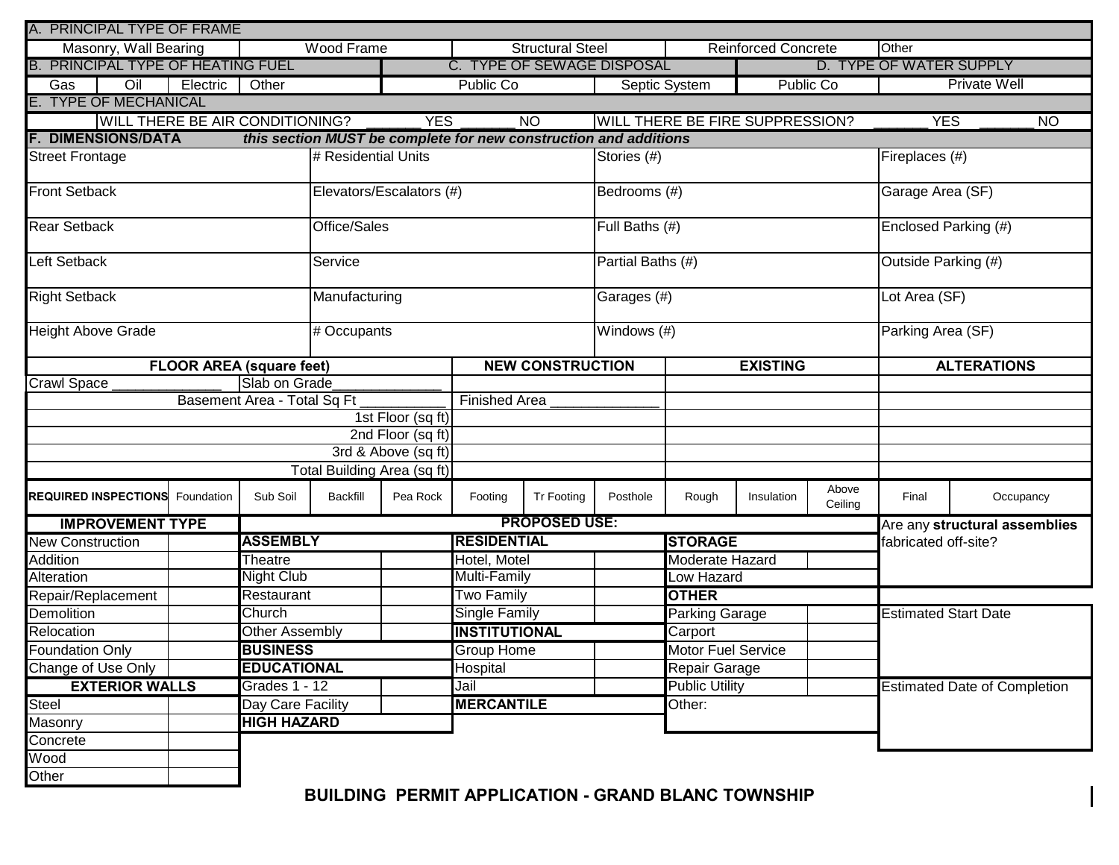| A. PRINCIPAL TYPE OF FRAME               |                                 |                             |                                                                  |                          |                      |                            |                   |                                        |                     |                  |                             |                                     |  |  |  |
|------------------------------------------|---------------------------------|-----------------------------|------------------------------------------------------------------|--------------------------|----------------------|----------------------------|-------------------|----------------------------------------|---------------------|------------------|-----------------------------|-------------------------------------|--|--|--|
| Masonry, Wall Bearing                    |                                 |                             | Wood Frame                                                       |                          |                      | <b>Structural Steel</b>    |                   |                                        | Reinforced Concrete |                  | Other                       |                                     |  |  |  |
| <b>B. PRINCIPAL TYPE OF HEATING FUEL</b> |                                 |                             |                                                                  |                          |                      | C. TYPE OF SEWAGE DISPOSAL |                   |                                        |                     |                  | D. TYPE OF WATER SUPPLY     |                                     |  |  |  |
| $\overline{O}$<br>Gas                    | Electric                        | Other                       |                                                                  |                          | <b>Public Co</b>     |                            | <b>Public Co</b>  | <b>Private Well</b>                    |                     |                  |                             |                                     |  |  |  |
| <b>TYPE OF MECHANICAL</b>                |                                 |                             |                                                                  |                          |                      |                            |                   |                                        |                     |                  |                             |                                     |  |  |  |
| <b>WILL THERE BE AIR CONDITIONING?</b>   |                                 |                             |                                                                  | <b>YES</b>               |                      | <b>NO</b>                  |                   | <b>WILL THERE BE FIRE SUPPRESSION?</b> |                     |                  | <b>YES</b>                  | <b>NO</b>                           |  |  |  |
| <b>DIMENSIONS/DATA</b>                   |                                 |                             | this section MUST be complete for new construction and additions |                          |                      |                            |                   |                                        |                     |                  |                             |                                     |  |  |  |
| <b>Street Frontage</b>                   |                                 |                             | # Residential Units                                              |                          |                      |                            | Stories (#)       |                                        |                     |                  | Fireplaces (#)              |                                     |  |  |  |
| <b>Front Setback</b>                     |                                 |                             |                                                                  | Elevators/Escalators (#) |                      |                            | Bedrooms (#)      |                                        |                     |                  | Garage Area (SF)            |                                     |  |  |  |
| <b>Rear Setback</b>                      |                                 |                             | Office/Sales                                                     |                          |                      |                            | Full Baths (#)    |                                        |                     |                  | Enclosed Parking (#)        |                                     |  |  |  |
| Left Setback                             |                                 |                             | Service                                                          |                          |                      |                            | Partial Baths (#) |                                        |                     |                  | Outside Parking (#)         |                                     |  |  |  |
| <b>Right Setback</b>                     |                                 |                             | Manufacturing                                                    |                          |                      |                            | Garages (#)       |                                        |                     |                  | Lot Area (SF)               |                                     |  |  |  |
| <b>Height Above Grade</b>                |                                 |                             | # Occupants                                                      |                          |                      |                            | Windows (#)       |                                        |                     |                  | Parking Area (SF)           |                                     |  |  |  |
|                                          | <b>FLOOR AREA (square feet)</b> |                             |                                                                  |                          |                      | <b>NEW CONSTRUCTION</b>    |                   |                                        | <b>EXISTING</b>     |                  |                             | <b>ALTERATIONS</b>                  |  |  |  |
| <b>Crawl Space</b>                       |                                 | Slab on Grade               |                                                                  |                          |                      |                            |                   |                                        |                     |                  |                             |                                     |  |  |  |
|                                          |                                 | Basement Area - Total Sq Ft |                                                                  |                          | <b>Finished Area</b> |                            |                   |                                        |                     |                  |                             |                                     |  |  |  |
|                                          |                                 |                             |                                                                  | 1st Floor (sq ft)        |                      |                            |                   |                                        |                     |                  |                             |                                     |  |  |  |
|                                          |                                 |                             |                                                                  | 2nd Floor (sq ft)        |                      |                            |                   |                                        |                     |                  |                             |                                     |  |  |  |
|                                          |                                 |                             |                                                                  | 3rd & Above (sq ft)      |                      |                            |                   |                                        |                     |                  |                             |                                     |  |  |  |
|                                          |                                 |                             | Total Building Area (sq ft)                                      |                          |                      |                            |                   |                                        |                     |                  |                             |                                     |  |  |  |
| <b>REQUIRED INSPECTIONS</b> Foundation   |                                 | Sub Soil                    | <b>Backfill</b>                                                  | Pea Rock                 | Footing              | Tr Footing                 | Posthole          | Rough                                  | Insulation          | Above<br>Ceiling | Final                       | Occupancy                           |  |  |  |
| <b>IMPROVEMENT TYPE</b>                  |                                 |                             |                                                                  |                          |                      | <b>PROPOSED USE:</b>       |                   |                                        |                     |                  |                             | Are any structural assemblies       |  |  |  |
| <b>New Construction</b>                  |                                 | <b>ASSEMBLY</b>             |                                                                  |                          | <b>RESIDENTIAL</b>   |                            |                   | <b>STORAGE</b>                         |                     |                  | fabricated off-site?        |                                     |  |  |  |
| Addition                                 |                                 | Theatre                     |                                                                  |                          | Hotel, Motel         |                            |                   | Moderate Hazard                        |                     |                  |                             |                                     |  |  |  |
| Alteration                               |                                 | <b>Night Club</b>           |                                                                  |                          | Multi-Family         |                            |                   | Low Hazard                             |                     |                  |                             |                                     |  |  |  |
| Repair/Replacement                       |                                 | Restaurant                  |                                                                  |                          | <b>Two Family</b>    |                            |                   | <b>OTHER</b>                           |                     |                  |                             |                                     |  |  |  |
| Demolition                               |                                 | Church                      |                                                                  |                          | <b>Single Family</b> |                            |                   | Parking Garage                         |                     |                  | <b>Estimated Start Date</b> |                                     |  |  |  |
| Relocation                               |                                 | Other Assembly              |                                                                  |                          | <b>INSTITUTIONAL</b> |                            |                   | Carport                                |                     |                  |                             |                                     |  |  |  |
| <b>Foundation Only</b>                   |                                 | <b>BUSINESS</b>             |                                                                  |                          | <b>Group Home</b>    |                            |                   | <b>Motor Fuel Service</b>              |                     |                  |                             |                                     |  |  |  |
| Change of Use Only                       |                                 | <b>EDUCATIONAL</b>          |                                                                  |                          | Hospital             |                            |                   | Repair Garage                          |                     |                  |                             |                                     |  |  |  |
| <b>EXTERIOR WALLS</b>                    |                                 | Grades 1 - 12               |                                                                  |                          | Jail                 |                            |                   | <b>Public Utility</b>                  |                     |                  |                             | <b>Estimated Date of Completion</b> |  |  |  |
| Steel                                    | Day Care Facility               |                             | <b>MERCANTILE</b>                                                |                          |                      | Other:                     |                   |                                        |                     |                  |                             |                                     |  |  |  |
| Masonry                                  | <b>HIGH HAZARD</b>              |                             |                                                                  |                          |                      |                            |                   |                                        |                     |                  |                             |                                     |  |  |  |
| Concrete                                 |                                 |                             |                                                                  |                          |                      |                            |                   |                                        |                     |                  |                             |                                     |  |  |  |
| Wood                                     |                                 |                             |                                                                  |                          |                      |                            |                   |                                        |                     |                  |                             |                                     |  |  |  |
| Other                                    |                                 |                             |                                                                  |                          |                      |                            |                   |                                        |                     |                  |                             |                                     |  |  |  |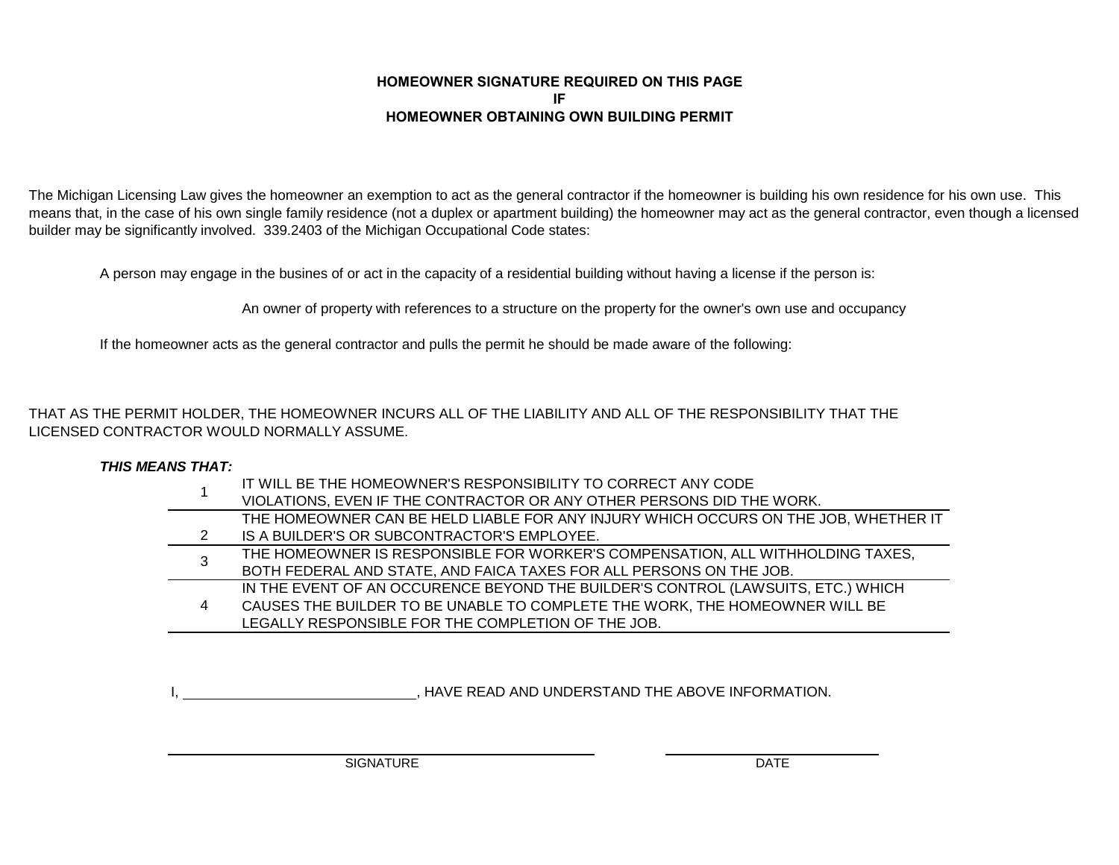#### **HOMEOWNER SIGNATURE REQUIRED ON THIS PAGE IFITHOMEOWNER OBTAINING OWN BUILDING PERM**

The Michigan Licensing Law gives the homeowner an exemption to act as the general contractor if the homeowner is building his own residence for his own use. This means that, in the case of his own single family residence (not a duplex or apartment building) the homeowner may act as the general contractor, even though a licensed builder may be significantly involved. 339.2403 of the Michigan Occupational Code states:

A person may engage in the busines of or act in the capacity of a residential building without having a license if the person is:

An owner of property with references to a structure on the property for the owner's own use and occupancy

If the homeowner acts as the general contractor and pulls the permit he should be made aware of the following:

THAT AS THE PERMIT HOLDER, THE HOMEOWNER INCURS ALL OF THE LIABILITY AND ALL OF THE RESPONSIBILITY THAT THE LICENSED CONTRACTOR WOULD NORMALLY ASSUME.

#### *THIS MEANS THAT:*

|   | IT WILL BE THE HOMEOWNER'S RESPONSIBILITY TO CORRECT ANY CODE                       |
|---|-------------------------------------------------------------------------------------|
|   | VIOLATIONS, EVEN IF THE CONTRACTOR OR ANY OTHER PERSONS DID THE WORK.               |
|   | THE HOMEOWNER CAN BE HELD LIABLE FOR ANY INJURY WHICH OCCURS ON THE JOB, WHETHER IT |
|   | IS A BUILDER'S OR SUBCONTRACTOR'S EMPLOYEE.                                         |
| 3 | THE HOMEOWNER IS RESPONSIBLE FOR WORKER'S COMPENSATION, ALL WITHHOLDING TAXES,      |
|   | BOTH FEDERAL AND STATE, AND FAICA TAXES FOR ALL PERSONS ON THE JOB.                 |
|   | IN THE EVENT OF AN OCCURENCE BEYOND THE BUILDER'S CONTROL (LAWSUITS, ETC.) WHICH    |
| 4 | CAUSES THE BUILDER TO BE UNABLE TO COMPLETE THE WORK, THE HOMEOWNER WILL BE         |
|   | LEGALLY RESPONSIBLE FOR THE COMPLETION OF THE JOB.                                  |

, HAVE READ AND UNDERSTAND THE ABOVE INFORMATION.

SIGNATURE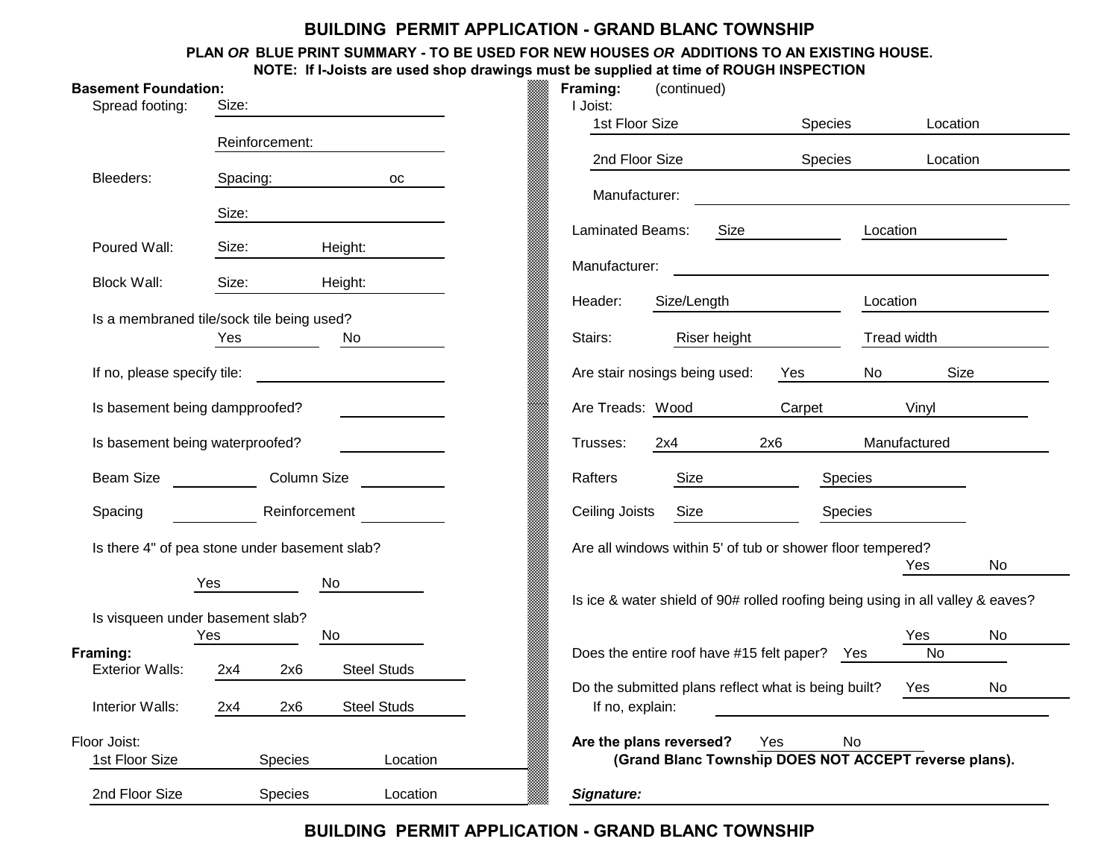# **BUILDING PERMIT APPLICATION - GRAND BLANC TOWNSHIP**

#### **HOUSE. PLAN** *OR* **BLUE PRINT SUMMARY - TO BE USED FOR NEW HOUSES** *OR* **ADDITIONS TO AN EXISTINGNOTE: If I-Joists are used shop drawings must be supplied at time of ROUGH INSPECTION**

| <b>Basement Foundation:</b><br>Spread footing: | Size:                                            |                                       | Framing:<br>I Joist: | (continued)<br>1st Floor Size                                                    | Species    |              | Location  |
|------------------------------------------------|--------------------------------------------------|---------------------------------------|----------------------|----------------------------------------------------------------------------------|------------|--------------|-----------|
|                                                | Reinforcement:                                   |                                       |                      |                                                                                  |            |              |           |
|                                                |                                                  |                                       |                      | 2nd Floor Size                                                                   | Species    |              | Location  |
| Bleeders:                                      | Spacing:                                         | OC                                    |                      | Manufacturer:                                                                    |            |              |           |
|                                                | Size:                                            |                                       |                      |                                                                                  |            |              |           |
| Poured Wall:                                   | Size:                                            | Height:                               |                      | Laminated Beams:<br>Size                                                         |            | Location     |           |
| <b>Block Wall:</b>                             | Size:                                            | Height:                               | Manufacturer:        |                                                                                  |            |              |           |
|                                                |                                                  |                                       | Header:              | Size/Length                                                                      |            | Location     |           |
|                                                | Is a membraned tile/sock tile being used?<br>Yes | No                                    | Stairs:              | Riser height                                                                     |            | Tread width  |           |
| If no, please specify tile:                    |                                                  |                                       |                      | Are stair nosings being used:                                                    | Yes        | No           | Size      |
|                                                | Is basement being dampproofed?                   | <u> a shekara ta 1999 a shekara t</u> |                      | Are Treads: Wood                                                                 | Carpet     | Vinyl        |           |
| Is basement being waterproofed?                |                                                  |                                       | Trusses:             | 2x4                                                                              | 2x6        | Manufactured |           |
| <b>Beam Size</b>                               | Column Size                                      |                                       | Rafters              | Size                                                                             | Species    |              |           |
| Spacing                                        | Reinforcement                                    |                                       | Ceiling Joists       | Size                                                                             | Species    |              |           |
|                                                | Is there 4" of pea stone under basement slab?    |                                       |                      | Are all windows within 5' of tub or shower floor tempered?                       |            | Yes          | <b>No</b> |
|                                                | Yes                                              | No                                    |                      | Is ice & water shield of 90# rolled roofing being using in all valley & eaves?   |            |              |           |
|                                                | Is visqueen under basement slab?                 |                                       |                      |                                                                                  |            |              |           |
| Framing:                                       | <b>Yes</b>                                       | No.                                   |                      | Does the entire roof have #15 felt paper? Yes                                    |            | Yes<br>No    | No.       |
| <b>Exterior Walls:</b>                         | 2x6<br>2x4                                       | <b>Steel Studs</b>                    |                      | Do the submitted plans reflect what is being built?                              |            |              | <b>No</b> |
| Interior Walls:                                | 2x4<br>2x6                                       | <b>Steel Studs</b>                    |                      | If no, explain:                                                                  |            | Yes          |           |
| Floor Joist:<br>1st Floor Size                 | Species                                          | Location                              |                      | Are the plans reversed?<br>(Grand Blanc Township DOES NOT ACCEPT reverse plans). | Yes<br>No. |              |           |
| 2nd Floor Size                                 | <b>Species</b>                                   | Location                              | Sianature:           |                                                                                  |            |              |           |

**BUILDING PERMIT APPLICATION - GRAND BLANC TOWNSHIP**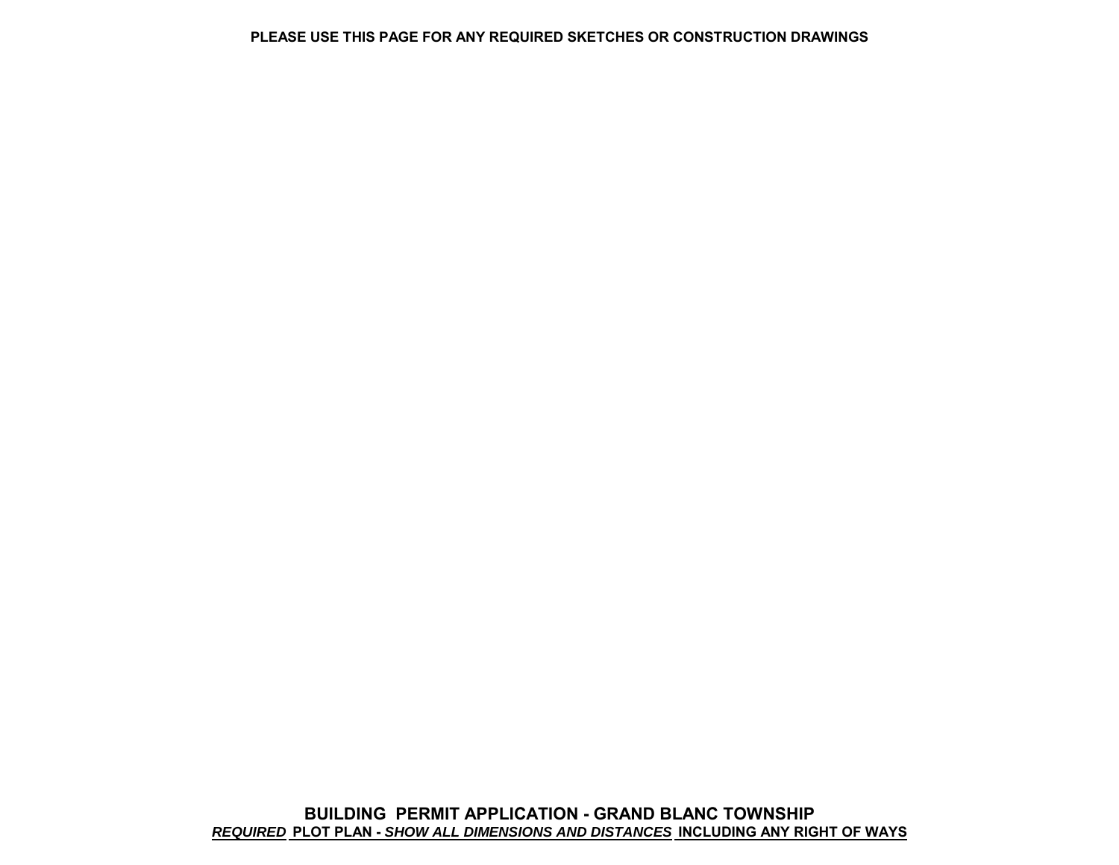#### **WINGS PLEASE USE THIS PAGE FOR ANY REQUIRED SKETCHES OR CONSTRUCTION DRA**

**AYS** *REQUIRED* **PLOT PLAN -** *SHOW ALL DIMENSIONS AND DISTANCES* **INCLUDING ANY RIGHT OF WBUILDING PERMIT APPLICATION - GRAND BLANC TOWNSHIP G C O G C O S**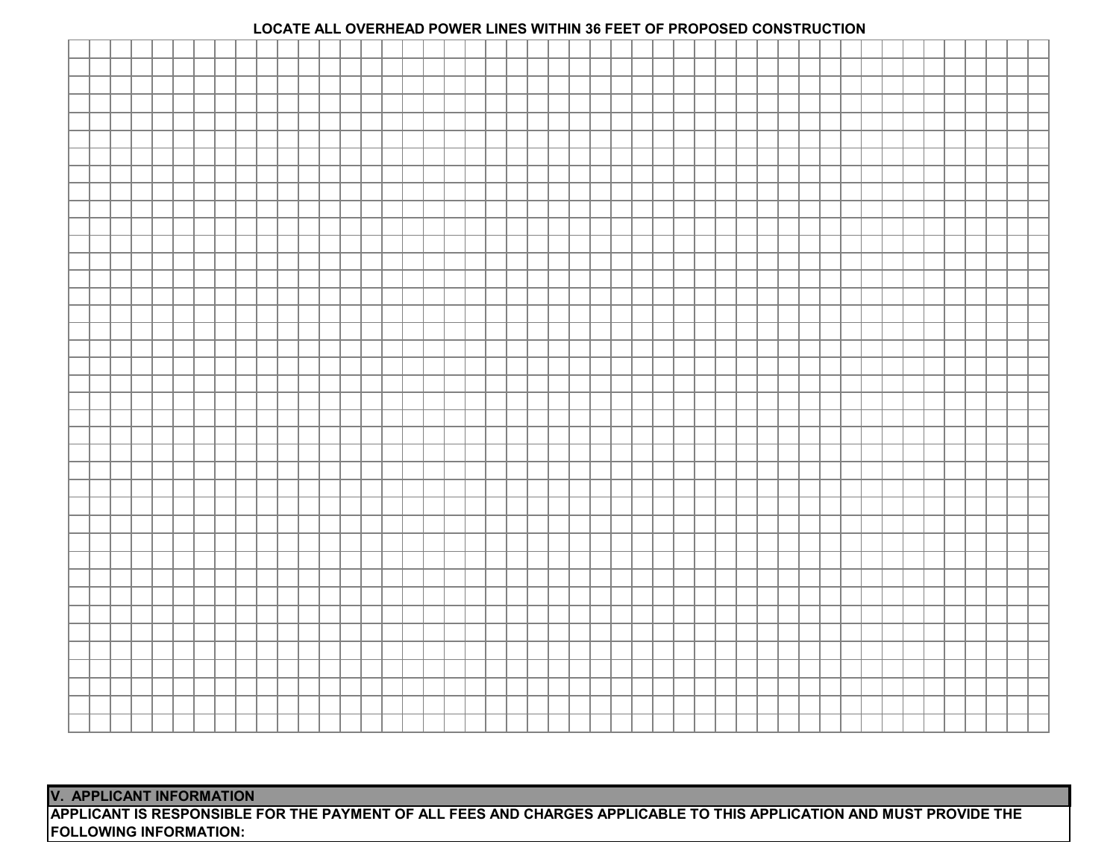## **LOCATE ALL OVERHEAD POWER LINES WITHIN 36 FEET OF PROPOSED CONSTRUCTION**

**V. APPLICANT INFORMATION**

APPLICANT IS RESPONSIBLE FOR THE PAYMENT OF ALL FEES AND CHARGES APPLICABLE TO THIS APPLICATION AND MUST PROVIDE THE **FOLLOWING INFORMATION:**